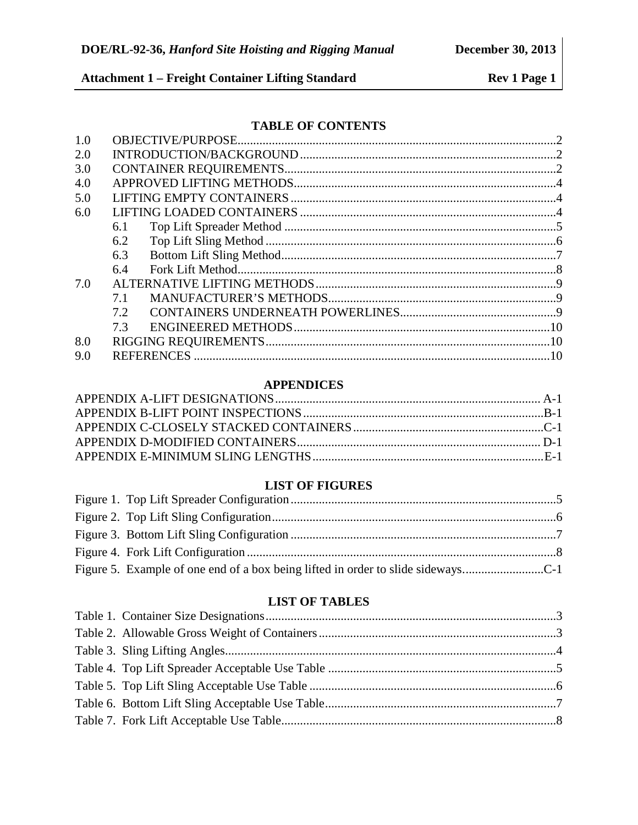Rev 1 Page 1

# **TABLE OF CONTENTS**

| 1.0 |     |  |
|-----|-----|--|
| 2.0 |     |  |
| 3.0 |     |  |
| 4.0 |     |  |
| 5.0 |     |  |
| 6.0 |     |  |
|     | 6.1 |  |
|     | 6.2 |  |
|     | 6.3 |  |
|     | 6.4 |  |
| 7.0 |     |  |
|     | 7.1 |  |
|     | 7.2 |  |
|     | 7.3 |  |
| 8.0 |     |  |
| 9.0 |     |  |
|     |     |  |

# **APPENDICES**

# **LIST OF FIGURES**

### **LIST OF TABLES**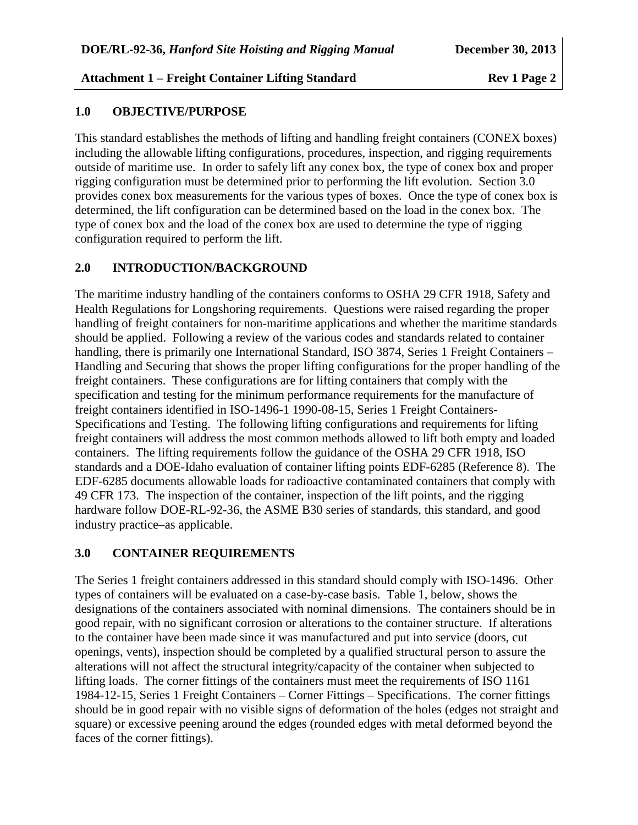### <span id="page-1-0"></span>**1.0 OBJECTIVE/PURPOSE**

This standard establishes the methods of lifting and handling freight containers (CONEX boxes) including the allowable lifting configurations, procedures, inspection, and rigging requirements outside of maritime use. In order to safely lift any conex box, the type of conex box and proper rigging configuration must be determined prior to performing the lift evolution. Section 3.0 provides conex box measurements for the various types of boxes. Once the type of conex box is determined, the lift configuration can be determined based on the load in the conex box. The type of conex box and the load of the conex box are used to determine the type of rigging configuration required to perform the lift.

### <span id="page-1-1"></span>**2.0 INTRODUCTION/BACKGROUND**

The maritime industry handling of the containers conforms to OSHA 29 CFR 1918, Safety and Health Regulations for Longshoring requirements. Questions were raised regarding the proper handling of freight containers for non-maritime applications and whether the maritime standards should be applied. Following a review of the various codes and standards related to container handling, there is primarily one International Standard, ISO 3874, Series 1 Freight Containers – Handling and Securing that shows the proper lifting configurations for the proper handling of the freight containers. These configurations are for lifting containers that comply with the specification and testing for the minimum performance requirements for the manufacture of freight containers identified in ISO-1496-1 1990-08-15, Series 1 Freight Containers-Specifications and Testing. The following lifting configurations and requirements for lifting freight containers will address the most common methods allowed to lift both empty and loaded containers. The lifting requirements follow the guidance of the OSHA 29 CFR 1918, ISO standards and a DOE-Idaho evaluation of container lifting points EDF-6285 (Reference 8). The EDF-6285 documents allowable loads for radioactive contaminated containers that comply with 49 CFR 173. The inspection of the container, inspection of the lift points, and the rigging hardware follow DOE-RL-92-36, the ASME B30 series of standards, this standard, and good industry practice–as applicable.

### <span id="page-1-2"></span>**3.0 CONTAINER REQUIREMENTS**

The Series 1 freight containers addressed in this standard should comply with ISO-1496. Other types of containers will be evaluated on a case-by-case basis. Table 1, below, shows the designations of the containers associated with nominal dimensions. The containers should be in good repair, with no significant corrosion or alterations to the container structure. If alterations to the container have been made since it was manufactured and put into service (doors, cut openings, vents), inspection should be completed by a qualified structural person to assure the alterations will not affect the structural integrity/capacity of the container when subjected to lifting loads. The corner fittings of the containers must meet the requirements of ISO 1161 1984-12-15, Series 1 Freight Containers – Corner Fittings – Specifications. The corner fittings should be in good repair with no visible signs of deformation of the holes (edges not straight and square) or excessive peening around the edges (rounded edges with metal deformed beyond the faces of the corner fittings).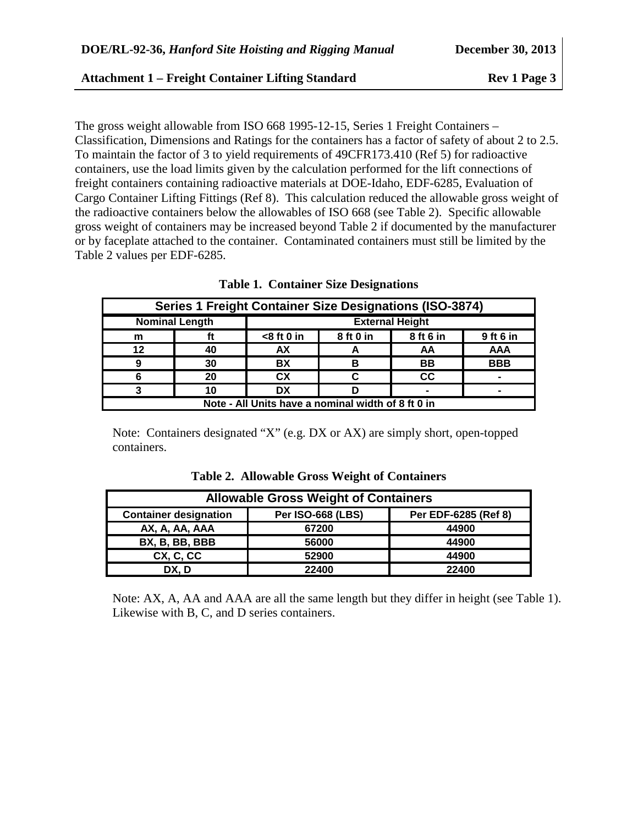The gross weight allowable from ISO 668 1995-12-15, Series 1 Freight Containers – Classification, Dimensions and Ratings for the containers has a factor of safety of about 2 to 2.5. To maintain the factor of 3 to yield requirements of 49CFR173.410 (Ref 5) for radioactive containers, use the load limits given by the calculation performed for the lift connections of freight containers containing radioactive materials at DOE-Idaho, EDF-6285, Evaluation of Cargo Container Lifting Fittings (Ref 8). This calculation reduced the allowable gross weight of the radioactive containers below the allowables of ISO 668 (see Table 2). Specific allowable gross weight of containers may be increased beyond Table 2 if documented by the manufacturer or by faceplate attached to the container. Contaminated containers must still be limited by the Table 2 values per EDF-6285.

<span id="page-2-0"></span>

|                 | Series 1 Freight Container Size Designations (ISO-3874) |                                                    |   |                  |            |  |  |  |  |  |  |  |  |  |  |
|-----------------|---------------------------------------------------------|----------------------------------------------------|---|------------------|------------|--|--|--|--|--|--|--|--|--|--|
|                 | <b>Nominal Length</b>                                   | <b>External Height</b>                             |   |                  |            |  |  |  |  |  |  |  |  |  |  |
| m               | $<$ 8 ft 0 in<br>8 ft 6 in<br>9 ft 6 in<br>8 ft 0 in    |                                                    |   |                  |            |  |  |  |  |  |  |  |  |  |  |
| 12              | 40                                                      | <b>AX</b>                                          |   | AA               | <b>AAA</b> |  |  |  |  |  |  |  |  |  |  |
| 9               | 30                                                      | <b>BX</b>                                          | в | <b>BBB</b><br>BB |            |  |  |  |  |  |  |  |  |  |  |
| 6               | cc<br><b>CX</b><br>20<br>С                              |                                                    |   |                  |            |  |  |  |  |  |  |  |  |  |  |
| <b>DX</b><br>10 |                                                         |                                                    |   |                  |            |  |  |  |  |  |  |  |  |  |  |
|                 |                                                         | Note - All Units have a nominal width of 8 ft 0 in |   |                  |            |  |  |  |  |  |  |  |  |  |  |

|  | <b>Table 1. Container Size Designations</b> |  |  |  |
|--|---------------------------------------------|--|--|--|
|--|---------------------------------------------|--|--|--|

Note: Containers designated "X" (e.g. DX or AX) are simply short, open-topped containers.

<span id="page-2-1"></span>

| <b>Allowable Gross Weight of Containers</b> |                          |                      |  |  |  |  |  |  |  |  |  |  |  |
|---------------------------------------------|--------------------------|----------------------|--|--|--|--|--|--|--|--|--|--|--|
| <b>Container designation</b>                | <b>Per ISO-668 (LBS)</b> | Per EDF-6285 (Ref 8) |  |  |  |  |  |  |  |  |  |  |  |
| AX, A, AA, AAA                              | 67200                    | 44900                |  |  |  |  |  |  |  |  |  |  |  |
| BX, B, BB, BBB                              | 56000                    | 44900                |  |  |  |  |  |  |  |  |  |  |  |
| CX, C, CC                                   | 52900                    | 44900                |  |  |  |  |  |  |  |  |  |  |  |
| DX. D                                       | 22400                    | 22400                |  |  |  |  |  |  |  |  |  |  |  |

**Table 2. Allowable Gross Weight of Containers**

Note: AX, A, AA and AAA are all the same length but they differ in height (see Table 1). Likewise with B, C, and D series containers.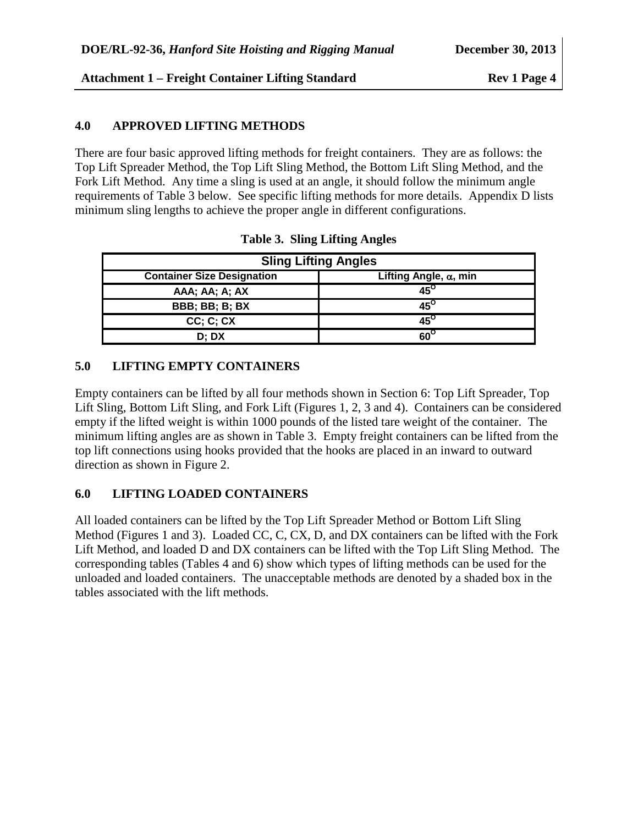### <span id="page-3-0"></span>**4.0 APPROVED LIFTING METHODS**

There are four basic approved lifting methods for freight containers. They are as follows: the Top Lift Spreader Method, the Top Lift Sling Method, the Bottom Lift Sling Method, and the Fork Lift Method. Any time a sling is used at an angle, it should follow the minimum angle requirements of Table 3 below. See specific lifting methods for more details. Appendix D lists minimum sling lengths to achieve the proper angle in different configurations.

<span id="page-3-3"></span>

| <b>Sling Lifting Angles</b>       |                               |  |  |  |  |  |  |  |  |  |  |  |  |
|-----------------------------------|-------------------------------|--|--|--|--|--|--|--|--|--|--|--|--|
| <b>Container Size Designation</b> | Lifting Angle, $\alpha$ , min |  |  |  |  |  |  |  |  |  |  |  |  |
| AAA; AA; A; AX                    | $45^\circ$                    |  |  |  |  |  |  |  |  |  |  |  |  |
| <b>BBB; BB; B; BX</b>             | $45^{\circ}$                  |  |  |  |  |  |  |  |  |  |  |  |  |
| CC; C; CX                         | 45 $^\mathrm{c}$              |  |  |  |  |  |  |  |  |  |  |  |  |
| D: DX                             | $60^\circ$                    |  |  |  |  |  |  |  |  |  |  |  |  |

**Table 3. Sling Lifting Angles**

### <span id="page-3-1"></span>**5.0 LIFTING EMPTY CONTAINERS**

Empty containers can be lifted by all four methods shown in Section 6: Top Lift Spreader, Top Lift Sling, Bottom Lift Sling, and Fork Lift (Figures 1, 2, 3 and 4). Containers can be considered empty if the lifted weight is within 1000 pounds of the listed tare weight of the container. The minimum lifting angles are as shown in Table 3. Empty freight containers can be lifted from the top lift connections using hooks provided that the hooks are placed in an inward to outward direction as shown in Figure 2.

### <span id="page-3-2"></span>**6.0 LIFTING LOADED CONTAINERS**

All loaded containers can be lifted by the Top Lift Spreader Method or Bottom Lift Sling Method (Figures 1 and 3). Loaded CC, C, CX, D, and DX containers can be lifted with the Fork Lift Method, and loaded D and DX containers can be lifted with the Top Lift Sling Method. The corresponding tables (Tables 4 and 6) show which types of lifting methods can be used for the unloaded and loaded containers. The unacceptable methods are denoted by a shaded box in the tables associated with the lift methods.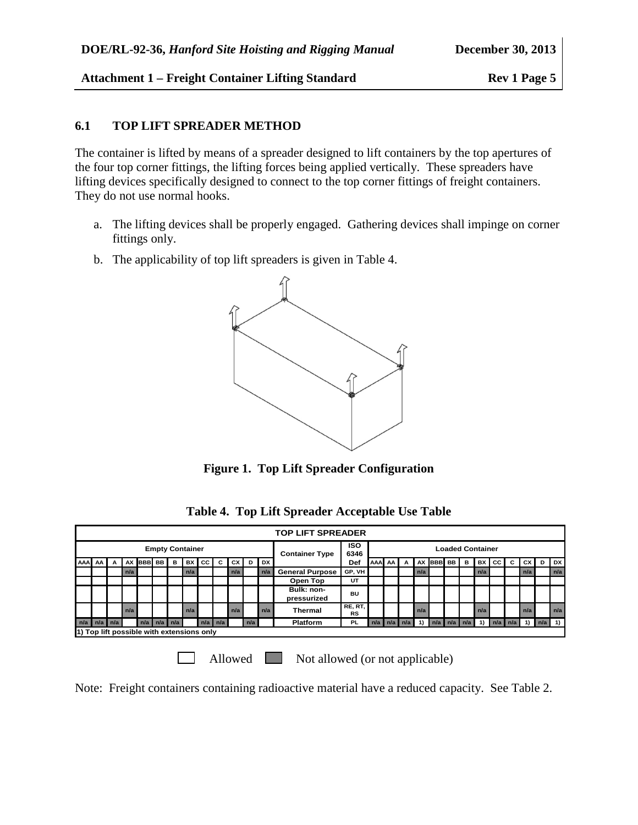# <span id="page-4-0"></span>**6.1 TOP LIFT SPREADER METHOD**

The container is lifted by means of a spreader designed to lift containers by the top apertures of the four top corner fittings, the lifting forces being applied vertically. These spreaders have lifting devices specifically designed to connect to the top corner fittings of freight containers. They do not use normal hooks.

- a. The lifting devices shall be properly engaged. Gathering devices shall impinge on corner fittings only.
- b. The applicability of top lift spreaders is given in Table 4.



**Figure 1. Top Lift Spreader Configuration**

|  | Table 4. Top Lift Spreader Acceptable Use Table |  |  |
|--|-------------------------------------------------|--|--|
|--|-------------------------------------------------|--|--|

<span id="page-4-2"></span><span id="page-4-1"></span>

|                                           |             |   |     |           |                   |   |                        |      |             |     |     |           | <b>TOP LIFT SPREADER</b>  |                           |                         |      |   |     |                      |  |   |      |                |   |     |     |     |
|-------------------------------------------|-------------|---|-----|-----------|-------------------|---|------------------------|------|-------------|-----|-----|-----------|---------------------------|---------------------------|-------------------------|------|---|-----|----------------------|--|---|------|----------------|---|-----|-----|-----|
|                                           |             |   |     |           |                   |   | <b>Empty Container</b> |      |             |     |     |           | <b>Container Type</b>     | <b>ISO</b><br>6346<br>Def | <b>Loaded Container</b> |      |   |     |                      |  |   |      |                |   |     |     |     |
| AAA AA                                    |             | A |     | AX BBB BB |                   | в | <b>BX</b>              | CC I | C           | CX  | D   | <b>DX</b> |                           |                           | <b>AAA</b>              | AA I | A |     | AX BBB BB            |  | в | BX I | cc             | C | СX  | D   | DX  |
|                                           |             |   | n/a |           |                   |   | n/a                    |      |             | n/a |     | n/a       | <b>General Purpose</b>    | GP. VH                    |                         |      |   | n/a |                      |  |   | n/a  |                |   | n/a |     | n/a |
|                                           |             |   |     |           |                   |   |                        |      |             |     |     |           | Open Top                  | UT                        |                         |      |   |     |                      |  |   |      |                |   |     |     |     |
|                                           |             |   |     |           |                   |   |                        |      |             |     |     |           | Bulk: non-<br>pressurized | BU                        |                         |      |   |     |                      |  |   |      |                |   |     |     |     |
|                                           |             |   | n/a |           |                   |   | n/a                    |      |             | n/a |     | n/a       | <b>Thermal</b>            | RE, RT,<br><b>RS</b>      |                         |      |   | n/a |                      |  |   | n/a  |                |   | n/a |     | n/a |
| n/a                                       | $n/a$ $n/a$ |   |     |           | $n/a$ $n/a$ $n/a$ |   |                        |      | $n/a$ $n/a$ |     | n/a |           | <b>Platform</b>           | PL                        | $n/a$ $n/a$ $n/a$       |      |   |     | 1) $n/a$ $n/a$ $n/a$ |  |   |      | 1) $n/a$ $n/a$ |   | (1) | n/a | 1)  |
| 1) Top lift possible with extensions only |             |   |     |           |                   |   |                        |      |             |     |     |           |                           |                           |                         |      |   |     |                      |  |   |      |                |   |     |     |     |
|                                           |             |   |     |           |                   |   |                        |      |             |     |     |           |                           |                           |                         |      |   |     |                      |  |   |      |                |   |     |     |     |

Allowed Not allowed (or not applicable)

Note: Freight containers containing radioactive material have a reduced capacity. See Table 2.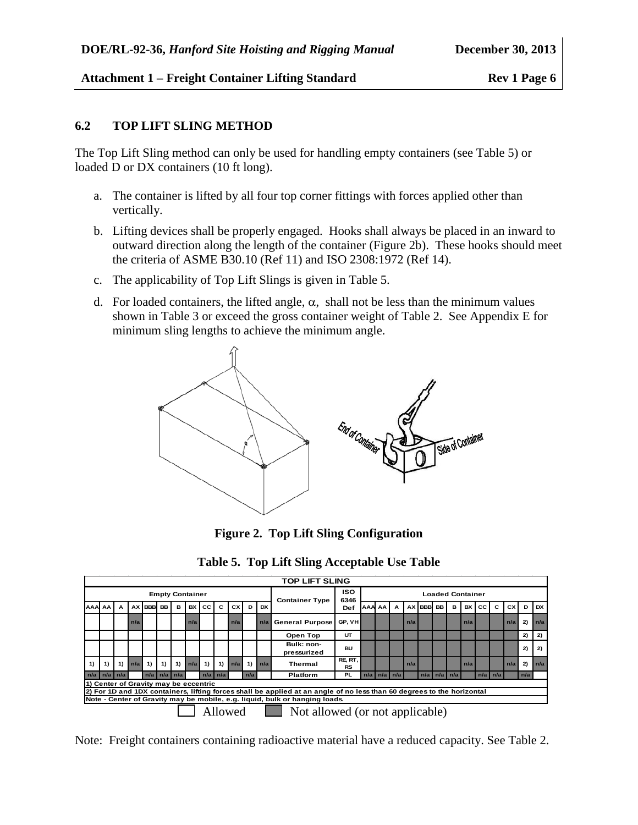### <span id="page-5-0"></span>**6.2 TOP LIFT SLING METHOD**

The Top Lift Sling method can only be used for handling empty containers (see Table 5) or loaded D or DX containers (10 ft long).

- a. The container is lifted by all four top corner fittings with forces applied other than vertically.
- b. Lifting devices shall be properly engaged. Hooks shall always be placed in an inward to outward direction along the length of the container (Figure 2b). These hooks should meet the criteria of ASME B30.10 (Ref 11) and ISO 2308:1972 (Ref 14).
- c. The applicability of Top Lift Slings is given in Table 5.
- d. For loaded containers, the lifted angle,  $\alpha$ , shall not be less than the minimum values shown in Table 3 or exceed the gross container weight of Table 2. See Appendix E for minimum sling lengths to achieve the minimum angle.



**Figure 2. Top Lift Sling Configuration**

<span id="page-5-2"></span><span id="page-5-1"></span>

|                                       |                        |    |     |               |                       |    |     |             |    |           |     |           | <b>TOP LIFT SLING</b>                                                                                                  |                      |                         |             |     |     |           |  |                   |     |      |             |      |     |           |
|---------------------------------------|------------------------|----|-----|---------------|-----------------------|----|-----|-------------|----|-----------|-----|-----------|------------------------------------------------------------------------------------------------------------------------|----------------------|-------------------------|-------------|-----|-----|-----------|--|-------------------|-----|------|-------------|------|-----|-----------|
|                                       | <b>Empty Container</b> |    |     |               |                       |    |     |             |    |           |     |           | <b>Container Type</b>                                                                                                  | <b>ISO</b><br>6346   | <b>Loaded Container</b> |             |     |     |           |  |                   |     |      |             |      |     |           |
| AAA AA                                |                        | А  |     | <b>AX BBB</b> | <b>BB</b>             | в  | BX  | <b>CC</b>   | c  | <b>CX</b> | D   | <b>DX</b> |                                                                                                                        | Def                  | AAA AA                  |             | A   |     | AX BBB BB |  | в                 | BX  | cc l | c           | CX I | D   | <b>DX</b> |
|                                       |                        |    | n/a |               |                       |    | n/a |             |    | n/a       |     | n/a       | <b>General Purpose</b>                                                                                                 | GP, VH               |                         |             |     | n/a |           |  |                   | n/a |      |             | n/a  | 2)  | n/a       |
|                                       |                        |    |     |               |                       |    |     |             |    |           |     |           | Open Top                                                                                                               | UT                   |                         |             |     |     |           |  |                   |     |      |             |      | 2)  | 2)        |
|                                       |                        |    |     |               |                       |    |     |             |    |           |     |           | Bulk: non-<br>pressurized                                                                                              | <b>BU</b>            |                         |             |     |     |           |  |                   |     |      |             |      | 2)  | 2)        |
| 1)                                    | 1)                     | 1) | n/a | 1)            | 1)                    | 1) | n/a | 1)          | 1) | n/a       | 1)  | n/a       | <b>Thermal</b>                                                                                                         | RE, RT,<br><b>RS</b> |                         |             |     | n/a |           |  |                   | n/a |      |             | n/a  | 2)  | n/a       |
| $n/a$   $n/a$   $n/a$                 |                        |    |     |               | $n/a$   $n/a$   $n/a$ |    |     | $n/a$ $n/a$ |    |           | n/a |           | <b>Platform</b>                                                                                                        | <b>PL</b>            |                         | $n/a$ $n/a$ | n/a |     |           |  | $n/a$ $n/a$ $n/a$ |     |      | $n/a$ $n/a$ |      | n/a |           |
| 1) Center of Gravity may be eccentric |                        |    |     |               |                       |    |     |             |    |           |     |           |                                                                                                                        |                      |                         |             |     |     |           |  |                   |     |      |             |      |     |           |
|                                       |                        |    |     |               |                       |    |     |             |    |           |     |           | 2) For 1D and 1DX containers, lifting forces shall be applied at an angle of no less than 60 degrees to the horizontal |                      |                         |             |     |     |           |  |                   |     |      |             |      |     |           |
|                                       |                        |    |     |               |                       |    |     |             |    |           |     |           | Note - Center of Gravity may be mobile, e.g. liquid, bulk or hanging loads.                                            |                      |                         |             |     |     |           |  |                   |     |      |             |      |     |           |
|                                       |                        |    |     |               |                       |    |     |             |    | Allowed   |     |           | Not allowed (or not applicable)                                                                                        |                      |                         |             |     |     |           |  |                   |     |      |             |      |     |           |

**Table 5. Top Lift Sling Acceptable Use Table**

Note: Freight containers containing radioactive material have a reduced capacity. See Table 2.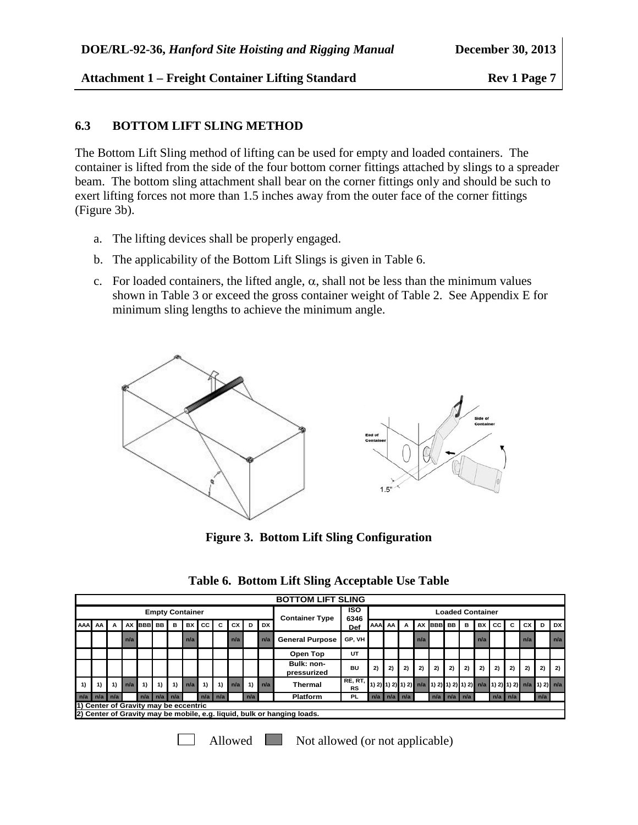### <span id="page-6-0"></span>**6.3 BOTTOM LIFT SLING METHOD**

The Bottom Lift Sling method of lifting can be used for empty and loaded containers. The container is lifted from the side of the four bottom corner fittings attached by slings to a spreader beam. The bottom sling attachment shall bear on the corner fittings only and should be such to exert lifting forces not more than 1.5 inches away from the outer face of the corner fittings (Figure 3b).

- a. The lifting devices shall be properly engaged.
- b. The applicability of the Bottom Lift Slings is given in Table 6.
- c. For loaded containers, the lifted angle,  $\alpha$ , shall not be less than the minimum values shown in Table 3 or exceed the gross container weight of Table 2. See Appendix E for minimum sling lengths to achieve the minimum angle.



**Figure 3. Bottom Lift Sling Configuration**

<span id="page-6-2"></span><span id="page-6-1"></span>

|                                       |                                                                                                                       |    |     |           |                   |    |     |             |    |           |     |           | <b>BOTTOM LIFT SLING</b>  |                                               |    |                   |    |     |                                                                             |    |             |      |             |    |     |     |     |
|---------------------------------------|-----------------------------------------------------------------------------------------------------------------------|----|-----|-----------|-------------------|----|-----|-------------|----|-----------|-----|-----------|---------------------------|-----------------------------------------------|----|-------------------|----|-----|-----------------------------------------------------------------------------|----|-------------|------|-------------|----|-----|-----|-----|
|                                       | <b>Empty Container</b>                                                                                                |    |     |           |                   |    |     |             |    |           |     |           | <b>Container Type</b>     | <b>ISO</b><br><b>Loaded Container</b><br>6346 |    |                   |    |     |                                                                             |    |             |      |             |    |     |     |     |
| AAA AA                                |                                                                                                                       | А  |     | AX BBB BB |                   | в  | BX  | cc          | C  | <b>CX</b> | D   | <b>DX</b> |                           | <b>Def</b>                                    |    | AAA AA            | A  |     | AX BBB BB                                                                   |    | в           | BX I | cc          | C  | СX  | D   | DX  |
|                                       |                                                                                                                       |    | n/a |           |                   |    | n/a |             |    | n/a       |     | n/a       | <b>General Purpose</b>    | GP, VH                                        |    |                   |    | n/a |                                                                             |    |             | n/a  |             |    | n/a |     | n/a |
|                                       |                                                                                                                       |    |     |           |                   |    |     |             |    |           |     |           | Open Top                  | UT                                            |    |                   |    |     |                                                                             |    |             |      |             |    |     |     |     |
|                                       |                                                                                                                       |    |     |           |                   |    |     |             |    |           |     |           | Bulk: non-<br>pressurized | BU                                            | 2) | 2)                | 2) | 2)  | 2)                                                                          | 2) | 2)          | 2)   | 2)          | 2) | 2)  | 2)  | 2)  |
| 1)                                    | 1)                                                                                                                    | 1) | n/a | 1)        | 1)                | 1) | n/a | 1)          | 1) | n/a       | 1)  | n/a       | <b>Thermal</b>            | RE, RT,<br><b>RS</b>                          |    |                   |    |     | 1) 2) 1) 2) 1) 2) n/a 1) 2) 1) 2) 1) 2) n/a 1) 2) 1) 2) n/a 1) 2) n/a 1) 2) |    |             |      |             |    |     |     |     |
| n/a                                   | $n/a$ $n/a$                                                                                                           |    |     |           | $n/a$ $n/a$ $n/a$ |    |     | $n/a$ $n/a$ |    |           | n/a |           | <b>Platform</b>           | <b>PL</b>                                     |    | $n/a$ $n/a$ $n/a$ |    |     | n/a                                                                         |    | $n/a$ $n/a$ |      | $n/a$ $n/a$ |    |     | n/a |     |
| 1) Center of Gravity may be eccentric |                                                                                                                       |    |     |           |                   |    |     |             |    |           |     |           |                           |                                               |    |                   |    |     |                                                                             |    |             |      |             |    |     |     |     |
|                                       |                                                                                                                       |    |     |           |                   |    |     |             |    |           |     |           |                           |                                               |    |                   |    |     |                                                                             |    |             |      |             |    |     |     |     |
|                                       | 2) Center of Gravity may be mobile, e.g. liquid, bulk or hanging loads.<br>Allowed<br>Not allowed (or not applicable) |    |     |           |                   |    |     |             |    |           |     |           |                           |                                               |    |                   |    |     |                                                                             |    |             |      |             |    |     |     |     |

**Table 6. Bottom Lift Sling Acceptable Use Table**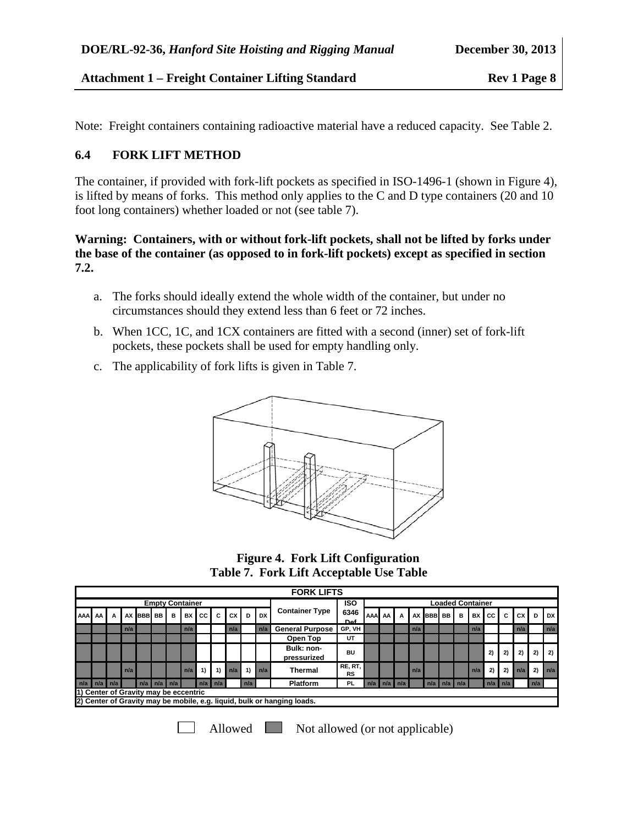Note: Freight containers containing radioactive material have a reduced capacity. See Table 2.

### <span id="page-7-0"></span>**6.4 FORK LIFT METHOD**

The container, if provided with fork-lift pockets as specified in ISO-1496-1 (shown in Figure 4), is lifted by means of forks. This method only applies to the C and D type containers (20 and 10 foot long containers) whether loaded or not (see table 7).

### **Warning: Containers, with or without fork-lift pockets, shall not be lifted by forks under the base of the container (as opposed to in fork-lift pockets) except as specified in section 7.2.**

- a. The forks should ideally extend the whole width of the container, but under no circumstances should they extend less than 6 feet or 72 inches.
- b. When 1CC, 1C, and 1CX containers are fitted with a second (inner) set of fork-lift pockets, these pockets shall be used for empty handling only.
- c. The applicability of fork lifts is given in Table 7.



**Figure 4. Fork Lift Configuration Table 7. Fork Lift Acceptable Use Table**

<span id="page-7-2"></span><span id="page-7-1"></span>

|                        | <b>FORK LIFTS</b>                                                       |             |     |               |                   |   |           |     |     |      |     |            |                           |                      |     |             |     |     |        |           |     |      |     |     |           |     |           |
|------------------------|-------------------------------------------------------------------------|-------------|-----|---------------|-------------------|---|-----------|-----|-----|------|-----|------------|---------------------------|----------------------|-----|-------------|-----|-----|--------|-----------|-----|------|-----|-----|-----------|-----|-----------|
| <b>Empty Container</b> |                                                                         |             |     |               |                   |   |           |     |     |      |     | <b>ISO</b> | <b>Loaded Container</b>   |                      |     |             |     |     |        |           |     |      |     |     |           |     |           |
| <b>AAA</b>             | AA I                                                                    | A           | AX  | <b>BBB</b> BB |                   | в | <b>BX</b> | CC. | C   | CX I | D   | <b>DX</b>  | <b>Container Type</b>     | 6346<br>Def          | AAA | AA          | A   |     | AX BBB | <b>BB</b> | B   | BX I | CC  | C   | <b>CX</b> | D   | <b>DX</b> |
|                        |                                                                         |             | n/a |               |                   |   | n/a       |     |     | n/a  |     | n/a        | <b>General Purpose</b>    | GP, VH               |     |             |     | n/a |        |           |     | n/a  |     |     | n/a       |     | n/a       |
|                        |                                                                         |             |     |               |                   |   |           |     |     |      |     |            | Open Top                  | UT                   |     |             |     |     |        |           |     |      |     |     |           |     |           |
|                        |                                                                         |             |     |               |                   |   |           |     |     |      |     |            | Bulk: non-<br>pressurized | BU                   |     |             |     |     |        |           |     |      | 2)  | 2)  | 2)        | 2)  | 2)        |
|                        |                                                                         |             | n/a |               |                   |   | n/a       | 1)  | 1)  | n/a  | 1)  | l n/a      | <b>Thermal</b>            | RE. RT.<br><b>RS</b> |     |             |     | n/a |        |           |     | n/a  | 2)  | 2)  | n/a       | 2)  | n/a       |
| n/a                    |                                                                         | $n/a$ $n/a$ |     |               | $n/a$ $n/a$ $n/a$ |   |           | n/a | n/a |      | n/a |            | <b>Platform</b>           | PL.                  |     | $n/a$ $n/a$ | n/a |     | n/a    | n/a       | n/a |      | n/a | n/a |           | n/a |           |
|                        | 1) Center of Gravity may be eccentric                                   |             |     |               |                   |   |           |     |     |      |     |            |                           |                      |     |             |     |     |        |           |     |      |     |     |           |     |           |
|                        | 2) Center of Gravity may be mobile, e.g. liquid, bulk or hanging loads. |             |     |               |                   |   |           |     |     |      |     |            |                           |                      |     |             |     |     |        |           |     |      |     |     |           |     |           |

Allowed Not allowed (or not applicable)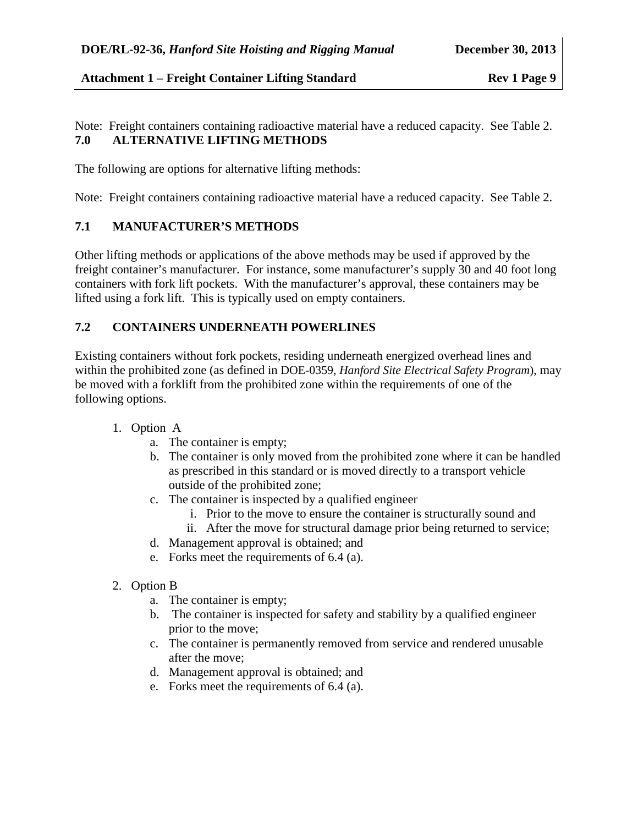<span id="page-8-0"></span>Note: Freight containers containing radioactive material have a reduced capacity. See Table 2. **7.0 ALTERNATIVE LIFTING METHODS**

The following are options for alternative lifting methods:

Note: Freight containers containing radioactive material have a reduced capacity. See Table 2.

### <span id="page-8-1"></span>**7.1 MANUFACTURER'S METHODS**

Other lifting methods or applications of the above methods may be used if approved by the freight container's manufacturer. For instance, some manufacturer's supply 30 and 40 foot long containers with fork lift pockets. With the manufacturer's approval, these containers may be lifted using a fork lift. This is typically used on empty containers.

### <span id="page-8-2"></span>**7.2 CONTAINERS UNDERNEATH POWERLINES**

Existing containers without fork pockets, residing underneath energized overhead lines and within the prohibited zone (as defined in DOE-0359, *Hanford Site Electrical Safety Program*), may be moved with a forklift from the prohibited zone within the requirements of one of the following options.

- 1. Option A
	- a. The container is empty;
	- b. The container is only moved from the prohibited zone where it can be handled as prescribed in this standard or is moved directly to a transport vehicle outside of the prohibited zone;
	- c. The container is inspected by a qualified engineer
		- i. Prior to the move to ensure the container is structurally sound and
		- ii. After the move for structural damage prior being returned to service;
	- d. Management approval is obtained; and
	- e. Forks meet the requirements of 6.4 (a).
- 2. Option B
	- a. The container is empty;
	- b. The container is inspected for safety and stability by a qualified engineer prior to the move;
	- c. The container is permanently removed from service and rendered unusable after the move;
	- d. Management approval is obtained; and
	- e. Forks meet the requirements of 6.4 (a).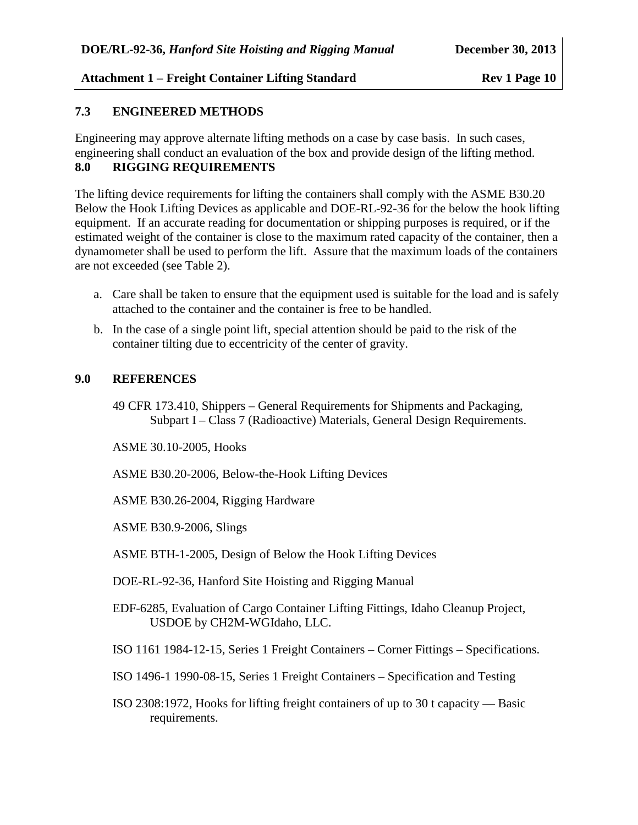### <span id="page-9-0"></span>**7.3 ENGINEERED METHODS**

Engineering may approve alternate lifting methods on a case by case basis. In such cases, engineering shall conduct an evaluation of the box and provide design of the lifting method. **8.0 RIGGING REQUIREMENTS**

<span id="page-9-1"></span>The lifting device requirements for lifting the containers shall comply with the ASME B30.20 Below the Hook Lifting Devices as applicable and DOE-RL-92-36 for the below the hook lifting equipment. If an accurate reading for documentation or shipping purposes is required, or if the estimated weight of the container is close to the maximum rated capacity of the container, then a dynamometer shall be used to perform the lift. Assure that the maximum loads of the containers are not exceeded (see Table 2).

- a. Care shall be taken to ensure that the equipment used is suitable for the load and is safely attached to the container and the container is free to be handled.
- b. In the case of a single point lift, special attention should be paid to the risk of the container tilting due to eccentricity of the center of gravity.

#### <span id="page-9-2"></span>**9.0 REFERENCES**

49 CFR 173.410, Shippers – General Requirements for Shipments and Packaging, Subpart I – Class 7 (Radioactive) Materials, General Design Requirements.

ASME 30.10-2005, Hooks

ASME B30.20-2006, Below-the-Hook Lifting Devices

ASME B30.26-2004, Rigging Hardware

ASME B30.9-2006, Slings

ASME BTH-1-2005, Design of Below the Hook Lifting Devices

DOE-RL-92-36, Hanford Site Hoisting and Rigging Manual

- EDF-6285, Evaluation of Cargo Container Lifting Fittings, Idaho Cleanup Project, USDOE by CH2M-WGIdaho, LLC.
- ISO 1161 1984-12-15, Series 1 Freight Containers Corner Fittings Specifications.
- ISO 1496-1 1990-08-15, Series 1 Freight Containers Specification and Testing
- ISO 2308:1972, Hooks for lifting freight containers of up to 30 t capacity Basic requirements.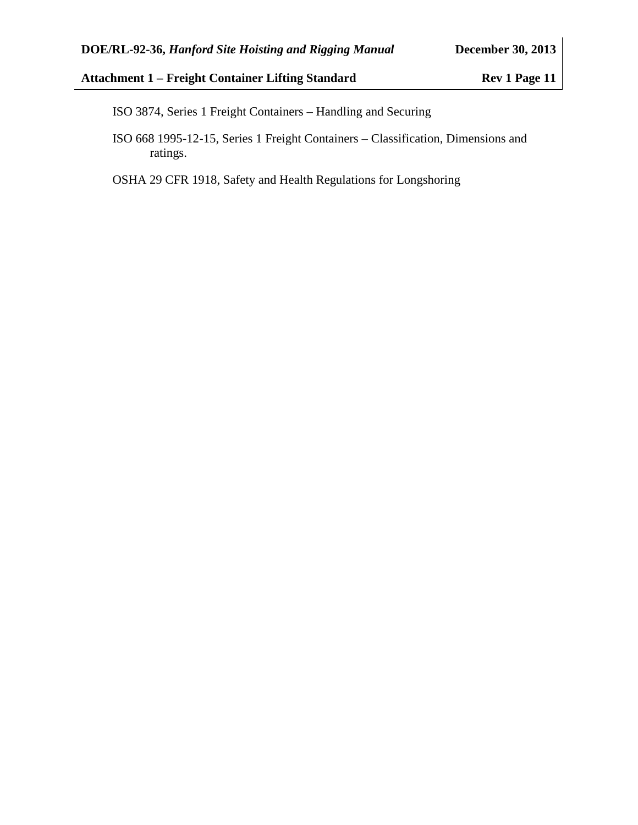|  |  | ISO 3874, Series 1 Freight Containers - Handling and Securing |
|--|--|---------------------------------------------------------------|
|  |  |                                                               |

ISO 668 1995-12-15, Series 1 Freight Containers – Classification, Dimensions and ratings.

OSHA 29 CFR 1918, Safety and Health Regulations for Longshoring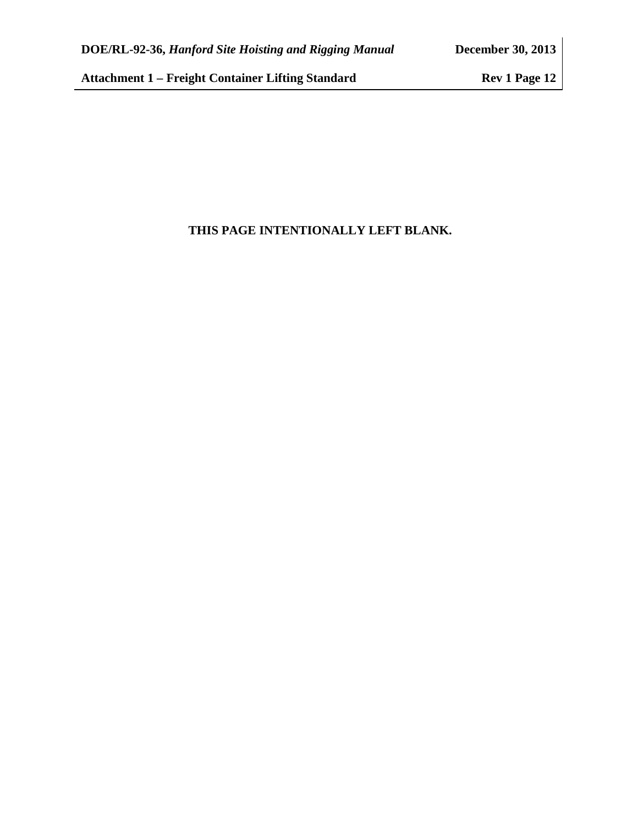# **THIS PAGE INTENTIONALLY LEFT BLANK.**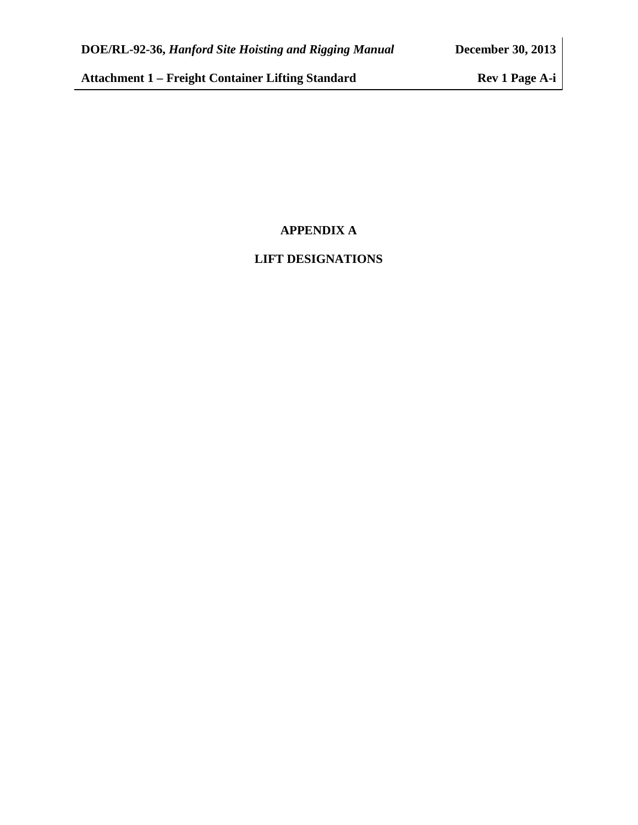# **APPENDIX A**

# **LIFT DESIGNATIONS**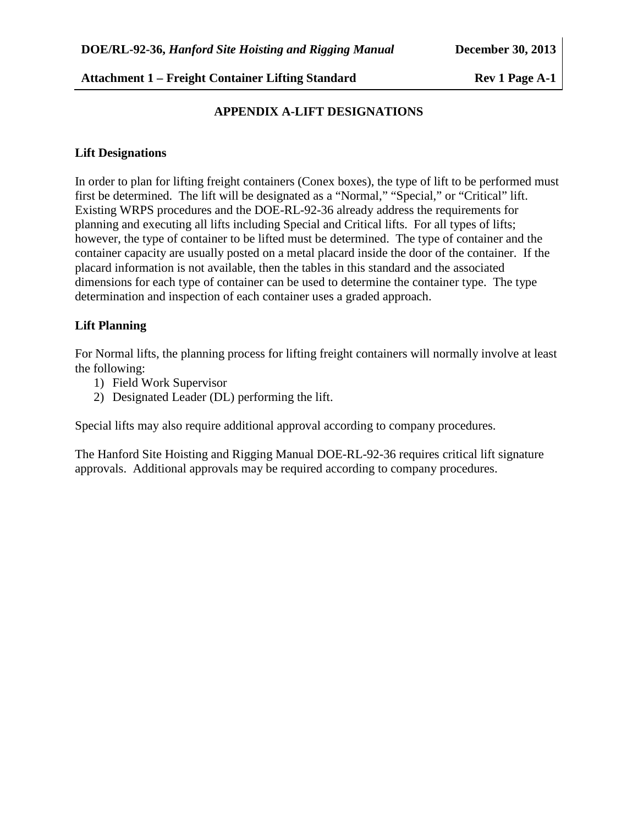### **APPENDIX A-LIFT DESIGNATIONS**

#### <span id="page-13-0"></span>**Lift Designations**

In order to plan for lifting freight containers (Conex boxes), the type of lift to be performed must first be determined. The lift will be designated as a "Normal," "Special," or "Critical" lift. Existing WRPS procedures and the DOE-RL-92-36 already address the requirements for planning and executing all lifts including Special and Critical lifts. For all types of lifts; however, the type of container to be lifted must be determined. The type of container and the container capacity are usually posted on a metal placard inside the door of the container. If the placard information is not available, then the tables in this standard and the associated dimensions for each type of container can be used to determine the container type. The type determination and inspection of each container uses a graded approach.

### **Lift Planning**

For Normal lifts, the planning process for lifting freight containers will normally involve at least the following:

- 1) Field Work Supervisor
- 2) Designated Leader (DL) performing the lift.

Special lifts may also require additional approval according to company procedures.

The Hanford Site Hoisting and Rigging Manual DOE-RL-92-36 requires critical lift signature approvals. Additional approvals may be required according to company procedures.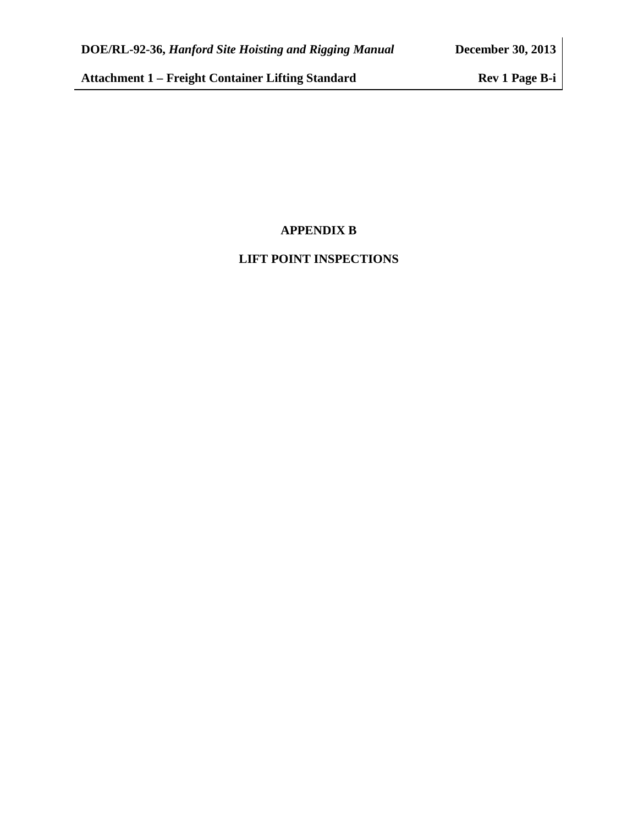## **APPENDIX B**

# **LIFT POINT INSPECTIONS**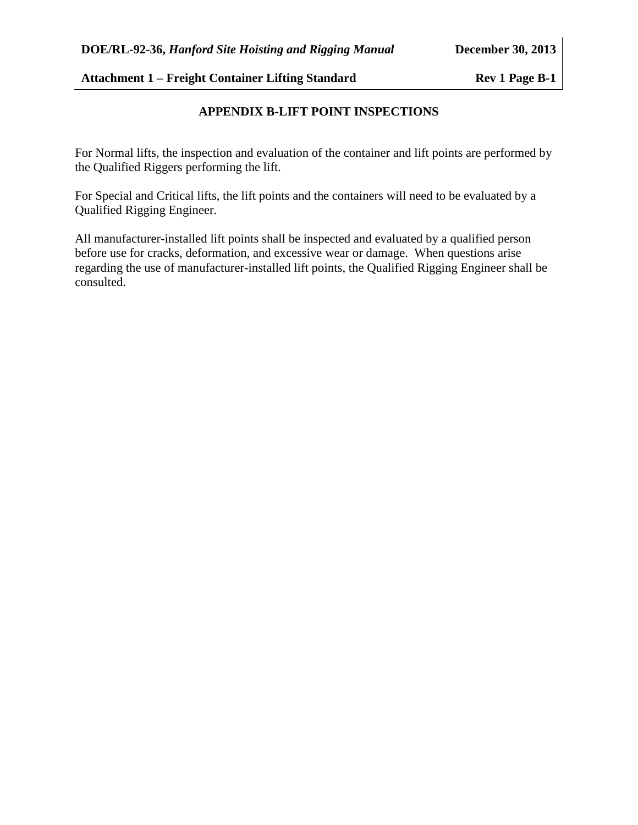### **APPENDIX B-LIFT POINT INSPECTIONS**

<span id="page-15-0"></span>For Normal lifts, the inspection and evaluation of the container and lift points are performed by the Qualified Riggers performing the lift.

For Special and Critical lifts, the lift points and the containers will need to be evaluated by a Qualified Rigging Engineer.

All manufacturer-installed lift points shall be inspected and evaluated by a qualified person before use for cracks, deformation, and excessive wear or damage. When questions arise regarding the use of manufacturer-installed lift points, the Qualified Rigging Engineer shall be consulted.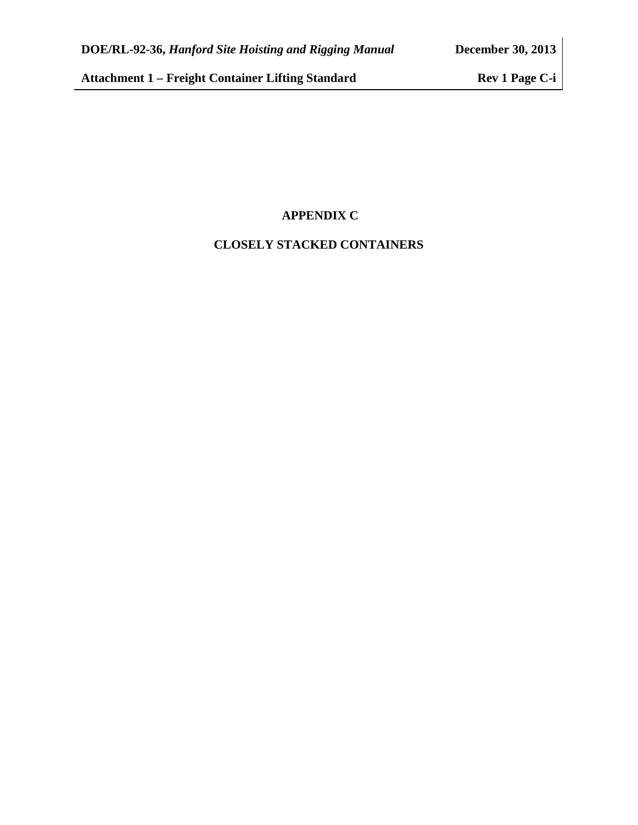# **APPENDIX C**

# **CLOSELY STACKED CONTAINERS**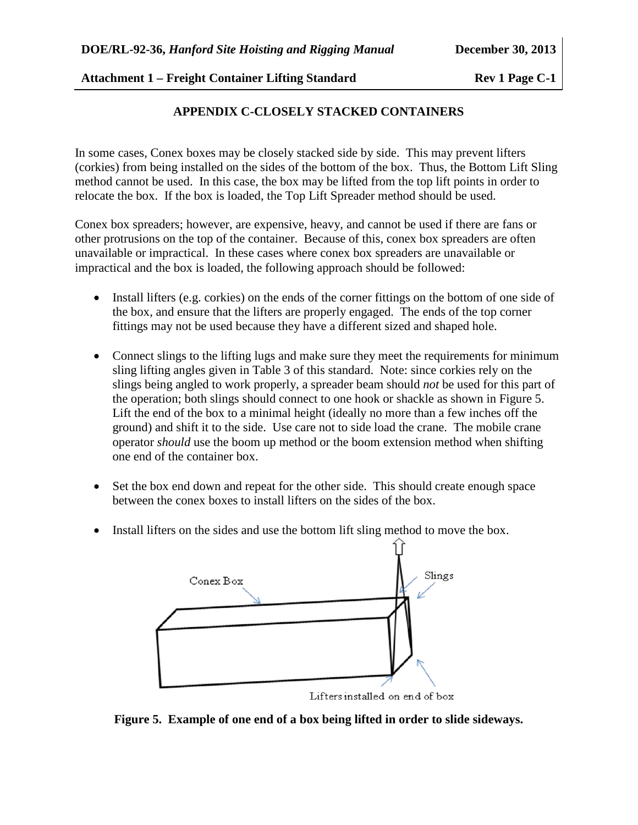### **APPENDIX C-CLOSELY STACKED CONTAINERS**

<span id="page-17-0"></span>In some cases, Conex boxes may be closely stacked side by side. This may prevent lifters (corkies) from being installed on the sides of the bottom of the box. Thus, the Bottom Lift Sling method cannot be used. In this case, the box may be lifted from the top lift points in order to relocate the box. If the box is loaded, the Top Lift Spreader method should be used.

Conex box spreaders; however, are expensive, heavy, and cannot be used if there are fans or other protrusions on the top of the container. Because of this, conex box spreaders are often unavailable or impractical. In these cases where conex box spreaders are unavailable or impractical and the box is loaded, the following approach should be followed:

- Install lifters (e.g. corkies) on the ends of the corner fittings on the bottom of one side of the box, and ensure that the lifters are properly engaged. The ends of the top corner fittings may not be used because they have a different sized and shaped hole.
- Connect slings to the lifting lugs and make sure they meet the requirements for minimum sling lifting angles given in Table 3 of this standard. Note: since corkies rely on the slings being angled to work properly, a spreader beam should *not* be used for this part of the operation; both slings should connect to one hook or shackle as shown in Figure 5. Lift the end of the box to a minimal height (ideally no more than a few inches off the ground) and shift it to the side. Use care not to side load the crane. The mobile crane operator *should* use the boom up method or the boom extension method when shifting one end of the container box.
- Set the box end down and repeat for the other side. This should create enough space between the conex boxes to install lifters on the sides of the box.
- Install lifters on the sides and use the bottom lift sling method to move the box.



<span id="page-17-1"></span>**Figure 5. Example of one end of a box being lifted in order to slide sideways.**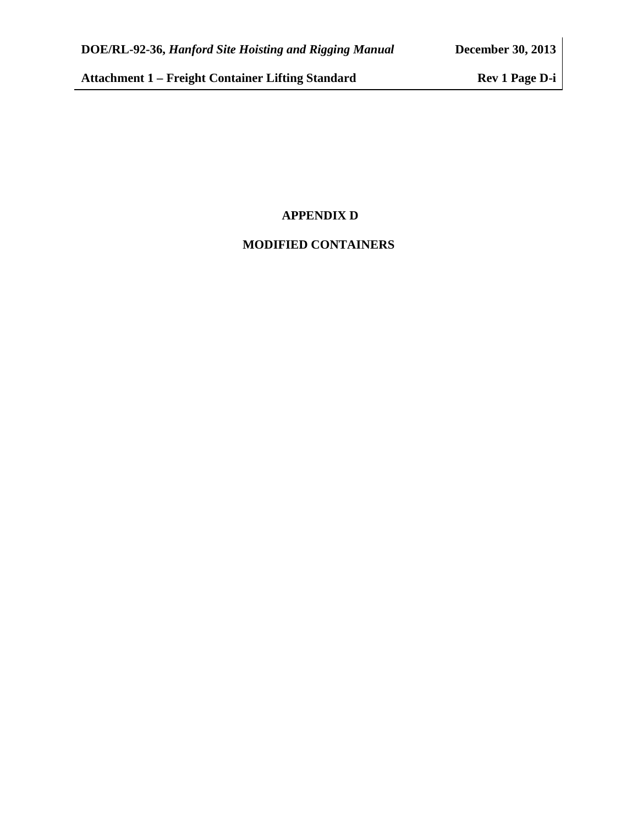# **APPENDIX D**

## **MODIFIED CONTAINERS**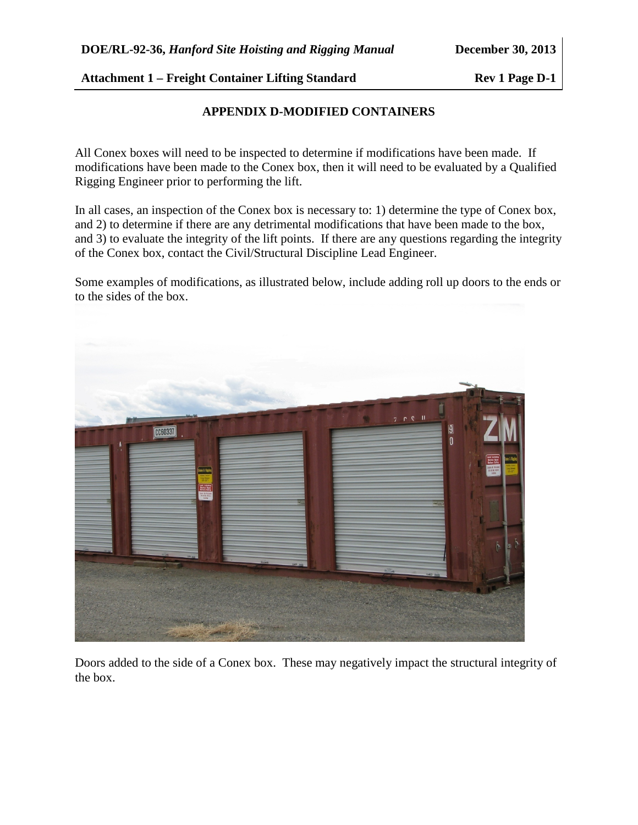### **APPENDIX D-MODIFIED CONTAINERS**

<span id="page-19-0"></span>All Conex boxes will need to be inspected to determine if modifications have been made. If modifications have been made to the Conex box, then it will need to be evaluated by a Qualified Rigging Engineer prior to performing the lift.

In all cases, an inspection of the Conex box is necessary to: 1) determine the type of Conex box, and 2) to determine if there are any detrimental modifications that have been made to the box, and 3) to evaluate the integrity of the lift points. If there are any questions regarding the integrity of the Conex box, contact the Civil/Structural Discipline Lead Engineer.

Some examples of modifications, as illustrated below, include adding roll up doors to the ends or to the sides of the box.



Doors added to the side of a Conex box. These may negatively impact the structural integrity of the box.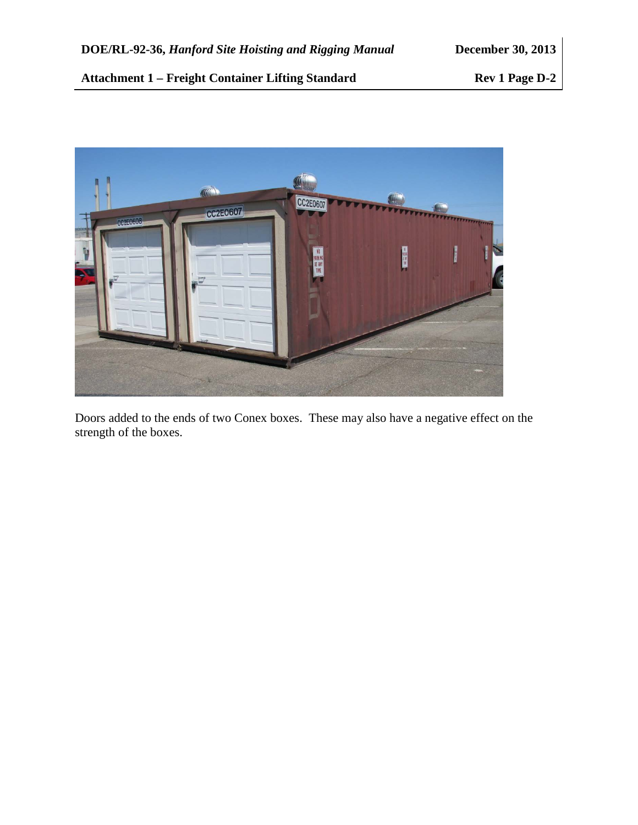

Doors added to the ends of two Conex boxes. These may also have a negative effect on the strength of the boxes.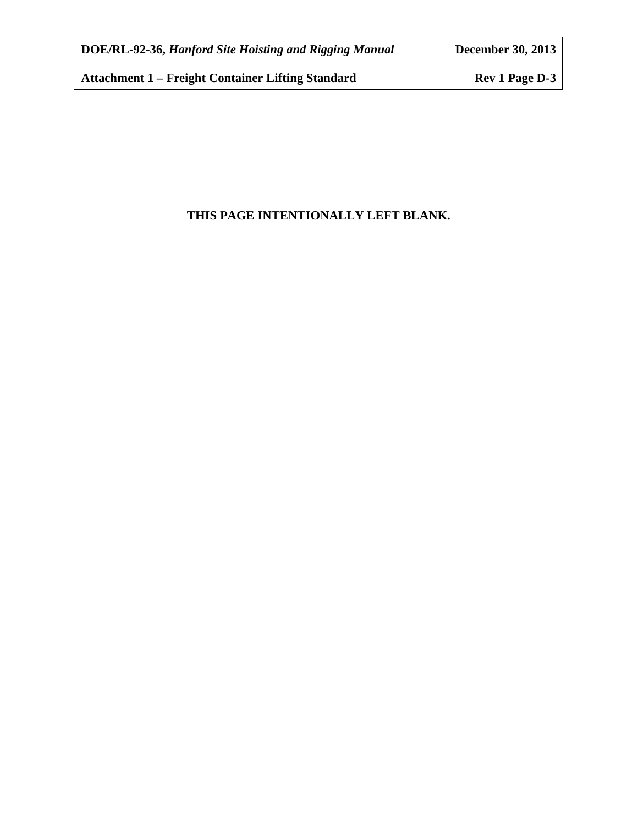# **THIS PAGE INTENTIONALLY LEFT BLANK.**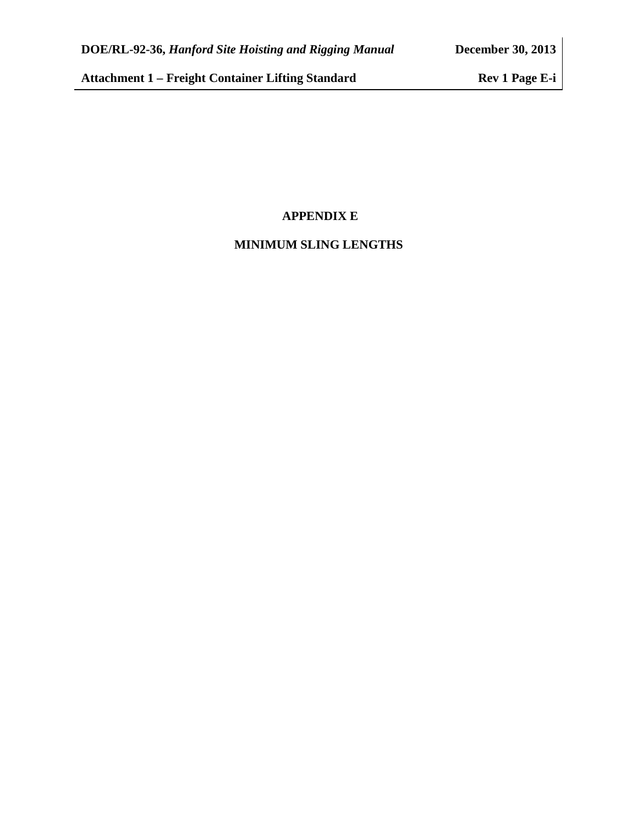## **APPENDIX E**

## **MINIMUM SLING LENGTHS**